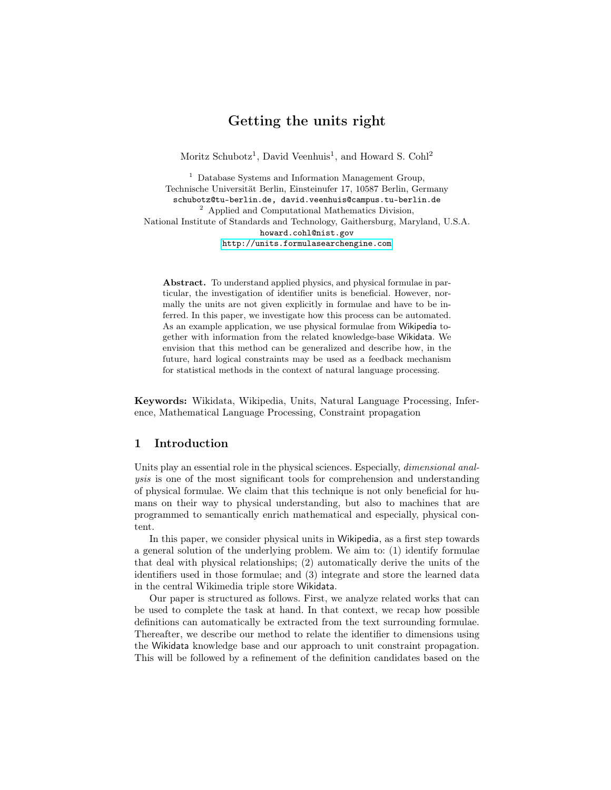# Getting the units right

Moritz Schubotz<sup>1</sup>, David Veenhuis<sup>1</sup>, and Howard S. Cohl<sup>2</sup>

 $^{\rm 1}$  Database Systems and Information Management Group, Technische Universität Berlin, Einsteinufer 17, 10587 Berlin, Germany schubotz@tu-berlin.de, david.veenhuis@campus.tu-berlin.de <sup>2</sup> Applied and Computational Mathematics Division, National Institute of Standards and Technology, Gaithersburg, Maryland, U.S.A. howard.cohl@nist.gov <http://units.formulasearchengine.com>

Abstract. To understand applied physics, and physical formulae in particular, the investigation of identifier units is beneficial. However, normally the units are not given explicitly in formulae and have to be inferred. In this paper, we investigate how this process can be automated. As an example application, we use physical formulae from Wikipedia together with information from the related knowledge-base Wikidata. We envision that this method can be generalized and describe how, in the future, hard logical constraints may be used as a feedback mechanism for statistical methods in the context of natural language processing.

Keywords: Wikidata, Wikipedia, Units, Natural Language Processing, Inference, Mathematical Language Processing, Constraint propagation

## 1 Introduction

Units play an essential role in the physical sciences. Especially, *dimensional anal*ysis is one of the most significant tools for comprehension and understanding of physical formulae. We claim that this technique is not only beneficial for humans on their way to physical understanding, but also to machines that are programmed to semantically enrich mathematical and especially, physical content.

In this paper, we consider physical units in Wikipedia, as a first step towards a general solution of the underlying problem. We aim to: (1) identify formulae that deal with physical relationships; (2) automatically derive the units of the identifiers used in those formulae; and (3) integrate and store the learned data in the central Wikimedia triple store Wikidata.

Our paper is structured as follows. First, we analyze related works that can be used to complete the task at hand. In that context, we recap how possible definitions can automatically be extracted from the text surrounding formulae. Thereafter, we describe our method to relate the identifier to dimensions using the Wikidata knowledge base and our approach to unit constraint propagation. This will be followed by a refinement of the definition candidates based on the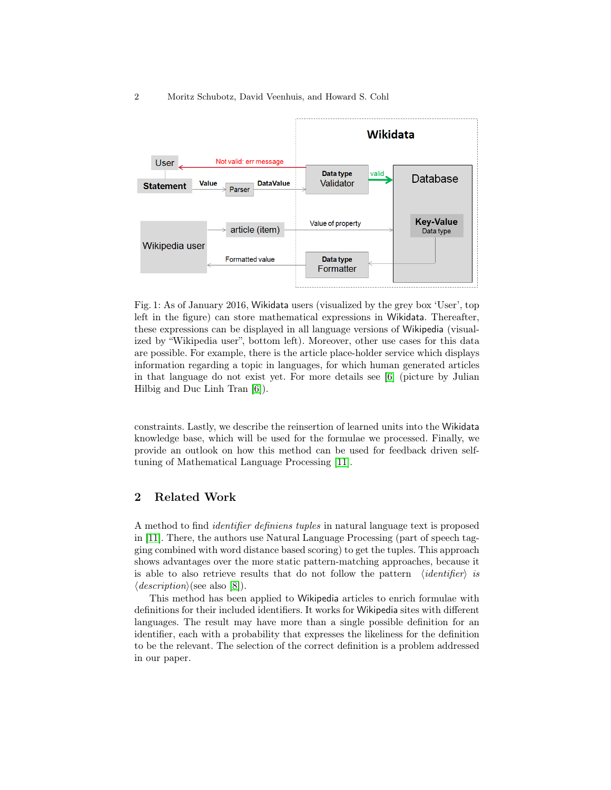

Fig. 1: As of January 2016, Wikidata users (visualized by the grey box 'User', top left in the figure) can store mathematical expressions in Wikidata. Thereafter, these expressions can be displayed in all language versions of Wikipedia (visualized by "Wikipedia user", bottom left). Moreover, other use cases for this data are possible. For example, there is the article place-holder service which displays information regarding a topic in languages, for which human generated articles in that language do not exist yet. For more details see [\[6\]](#page-10-0) (picture by Julian Hilbig and Duc Linh Tran [\[6\]](#page-10-0)).

constraints. Lastly, we describe the reinsertion of learned units into the Wikidata knowledge base, which will be used for the formulae we processed. Finally, we provide an outlook on how this method can be used for feedback driven selftuning of Mathematical Language Processing [\[11\]](#page-10-1).

### 2 Related Work

A method to find identifier definiens tuples in natural language text is proposed in [\[11\]](#page-10-1). There, the authors use Natural Language Processing (part of speech tagging combined with word distance based scoring) to get the tuples. This approach shows advantages over the more static pattern-matching approaches, because it is able to also retrieve results that do not follow the pattern  $\langle identifier \rangle$  is  $\langle \text{description} \rangle$ (see also [\[8\]](#page-10-2)).

This method has been applied to Wikipedia articles to enrich formulae with definitions for their included identifiers. It works for Wikipedia sites with different languages. The result may have more than a single possible definition for an identifier, each with a probability that expresses the likeliness for the definition to be the relevant. The selection of the correct definition is a problem addressed in our paper.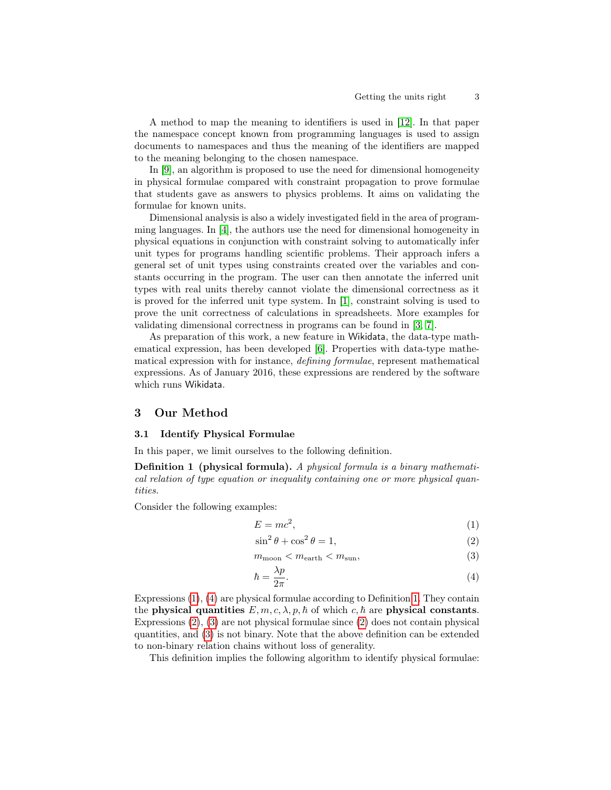A method to map the meaning to identifiers is used in [\[12\]](#page-10-3). In that paper the namespace concept known from programming languages is used to assign documents to namespaces and thus the meaning of the identifiers are mapped to the meaning belonging to the chosen namespace.

In [\[9\]](#page-10-4), an algorithm is proposed to use the need for dimensional homogeneity in physical formulae compared with constraint propagation to prove formulae that students gave as answers to physics problems. It aims on validating the formulae for known units.

Dimensional analysis is also a widely investigated field in the area of programming languages. In [\[4\]](#page-10-5), the authors use the need for dimensional homogeneity in physical equations in conjunction with constraint solving to automatically infer unit types for programs handling scientific problems. Their approach infers a general set of unit types using constraints created over the variables and constants occurring in the program. The user can then annotate the inferred unit types with real units thereby cannot violate the dimensional correctness as it is proved for the inferred unit type system. In [\[1\]](#page-9-0), constraint solving is used to prove the unit correctness of calculations in spreadsheets. More examples for validating dimensional correctness in programs can be found in [\[3,](#page-10-6) [7\]](#page-10-7).

As preparation of this work, a new feature in Wikidata, the data-type mathematical expression, has been developed [\[6\]](#page-10-0). Properties with data-type mathematical expression with for instance, defining formulae, represent mathematical expressions. As of January 2016, these expressions are rendered by the software which runs Wikidata.

### 3 Our Method

#### 3.1 Identify Physical Formulae

In this paper, we limit ourselves to the following definition.

Definition 1 (physical formula). A physical formula is a binary mathematical relation of type equation or inequality containing one or more physical quantities.

Consider the following examples:

<span id="page-2-2"></span><span id="page-2-0"></span>
$$
E = mc^2,\tag{1}
$$

<span id="page-2-4"></span><span id="page-2-3"></span>
$$
\sin^2 \theta + \cos^2 \theta = 1,\tag{2}
$$

 $m_{\text{moon}} < m_{\text{earth}} < m_{\text{sun}}$ , (3)

<span id="page-2-1"></span>
$$
\hbar = \frac{\lambda p}{2\pi}.\tag{4}
$$

Expressions [\(1\)](#page-2-0), [\(4\)](#page-2-1) are physical formulae according to Definition [1.](#page-2-2) They contain the physical quantities  $E, m, c, \lambda, p, \hbar$  of which c,  $\hbar$  are physical constants. Expressions  $(2)$ ,  $(3)$  are not physical formulae since  $(2)$  does not contain physical quantities, and [\(3\)](#page-2-4) is not binary. Note that the above definition can be extended to non-binary relation chains without loss of generality.

This definition implies the following algorithm to identify physical formulae: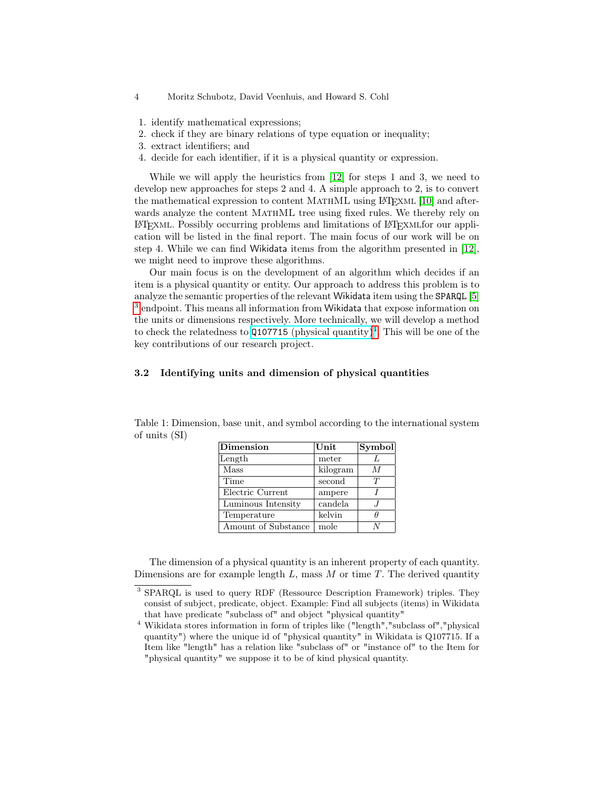- 4 Moritz Schubotz, David Veenhuis, and Howard S. Cohl
- 1. identify mathematical expressions;
- 2. check if they are binary relations of type equation or inequality;
- 3. extract identifiers; and
- 4. decide for each identifier, if it is a physical quantity or expression.

While we will apply the heuristics from [\[12\]](#page-10-3) for steps 1 and 3, we need to develop new approaches for steps 2 and 4. A simple approach to 2, is to convert the mathematical expression to content MATHML using LATEXML [\[10\]](#page-10-8) and afterwards analyze the content MATHML tree using fixed rules. We thereby rely on LATExml. Possibly occurring problems and limitations of LATExmlfor our application will be listed in the final report. The main focus of our work will be on step 4. While we can find Wikidata items from the algorithm presented in [\[12\]](#page-10-3), we might need to improve these algorithms.

Our main focus is on the development of an algorithm which decides if an item is a physical quantity or entity. Our approach to address this problem is to analyze the semantic properties of the relevant Wikidata item using the SPARQL [\[5\]](#page-10-9) <sup>[3](#page-3-0)</sup> endpoint. This means all information from Wikidata that expose information on the units or dimensions respectively. More technically, we will develop a method to check the relatedness to  $Q107715$  [\(physical quantity\)](https://www.wikidata.org/wiki/Q107715)<sup>[4](#page-3-1)</sup>. This will be one of the key contributions of our research project.

### 3.2 Identifying units and dimension of physical quantities

| <b>Dimension</b>    | Unit     | $ \mathbf{Symbol} $ |
|---------------------|----------|---------------------|
| Length              | meter    |                     |
| Mass                | kilogram | M                   |
| Time                | second   | T                   |
| Electric Current    | ampere   |                     |
| Luminous Intensity  | candela  |                     |
| Temperature         | kelvin   | Ĥ                   |
| Amount of Substance | mole     |                     |

Table 1: Dimension, base unit, and symbol according to the international system of units (SI)

The dimension of a physical quantity is an inherent property of each quantity. Dimensions are for example length  $L$ , mass  $M$  or time  $T$ . The derived quantity

<span id="page-3-0"></span><sup>&</sup>lt;sup>3</sup> SPARQL is used to query RDF (Ressource Description Framework) triples. They consist of subject, predicate, object. Example: Find all subjects (items) in Wikidata that have predicate "subclass of" and object "physical quantity"

<span id="page-3-1"></span><sup>4</sup> Wikidata stores information in form of triples like ("length","subclass of","physical quantity") where the unique id of "physical quantity" in Wikidata is Q107715. If a Item like "length" has a relation like "subclass of" or "instance of" to the Item for "physical quantity" we suppose it to be of kind physical quantity.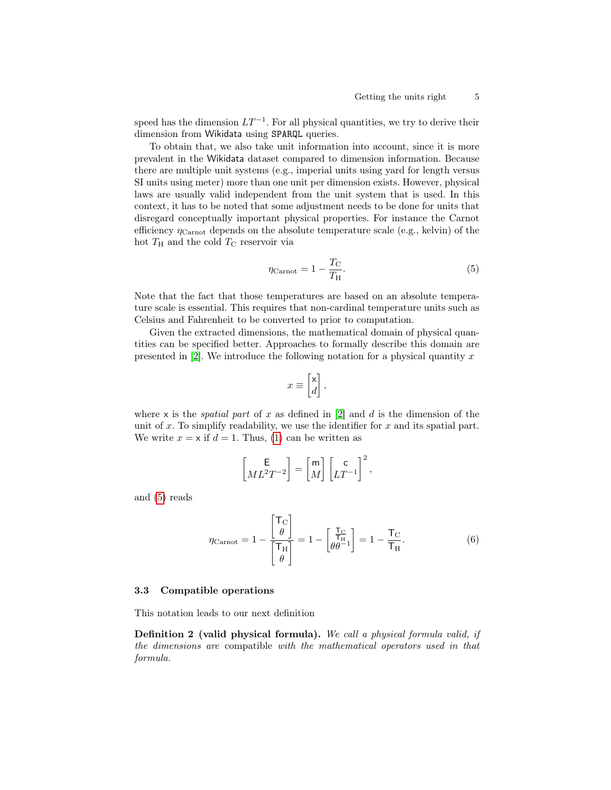speed has the dimension  $LT^{-1}$ . For all physical quantities, we try to derive their dimension from Wikidata using SPARQL queries.

To obtain that, we also take unit information into account, since it is more prevalent in the Wikidata dataset compared to dimension information. Because there are multiple unit systems (e.g., imperial units using yard for length versus SI units using meter) more than one unit per dimension exists. However, physical laws are usually valid independent from the unit system that is used. In this context, it has to be noted that some adjustment needs to be done for units that disregard conceptually important physical properties. For instance the Carnot efficiency  $\eta_{\text{Carnot}}$  depends on the absolute temperature scale (e.g., kelvin) of the hot  $T_H$  and the cold  $T_C$  reservoir via

<span id="page-4-0"></span>
$$
\eta_{\text{Carnot}} = 1 - \frac{T_{\text{C}}}{T_{\text{H}}}.\tag{5}
$$

Note that the fact that those temperatures are based on an absolute temperature scale is essential. This requires that non-cardinal temperature units such as Celsius and Fahrenheit to be converted to prior to computation.

Given the extracted dimensions, the mathematical domain of physical quantities can be specified better. Approaches to formally describe this domain are presented in [\[2\]](#page-9-1). We introduce the following notation for a physical quantity  $x$ 

$$
x\equiv \begin{bmatrix} \mathsf{x} \\ d \end{bmatrix},
$$

where x is the *spatial part* of x as defined in  $[2]$  and d is the dimension of the unit of  $x$ . To simplify readability, we use the identifier for  $x$  and its spatial part. We write  $x = \times$  if  $d = 1$ . Thus, [\(1\)](#page-2-0) can be written as

$$
\begin{bmatrix} \mathsf{E}\\ M L^2 T^{-2} \end{bmatrix} = \begin{bmatrix} \mathsf{m}\\ M \end{bmatrix} \begin{bmatrix} \mathsf{c}\\ LT^{-1} \end{bmatrix}^2,
$$

and [\(5\)](#page-4-0) reads

$$
\eta_{\text{Carnot}} = 1 - \frac{\begin{bmatrix} \mathsf{T}_{\mathcal{C}} \\ \theta \end{bmatrix}}{\begin{bmatrix} \mathsf{T}_{\mathcal{H}} \\ \theta \end{bmatrix}} = 1 - \begin{bmatrix} \frac{\mathsf{T}_{\mathcal{C}}}{\mathsf{T}_{\mathcal{H}}}\\ \theta \theta^{-1} \end{bmatrix} = 1 - \frac{\mathsf{T}_{\mathcal{C}}}{\mathsf{T}_{\mathcal{H}}}.
$$
 (6)

#### 3.3 Compatible operations

This notation leads to our next definition

Definition 2 (valid physical formula). We call a physical formula valid, if the dimensions are compatible with the mathematical operators used in that formula.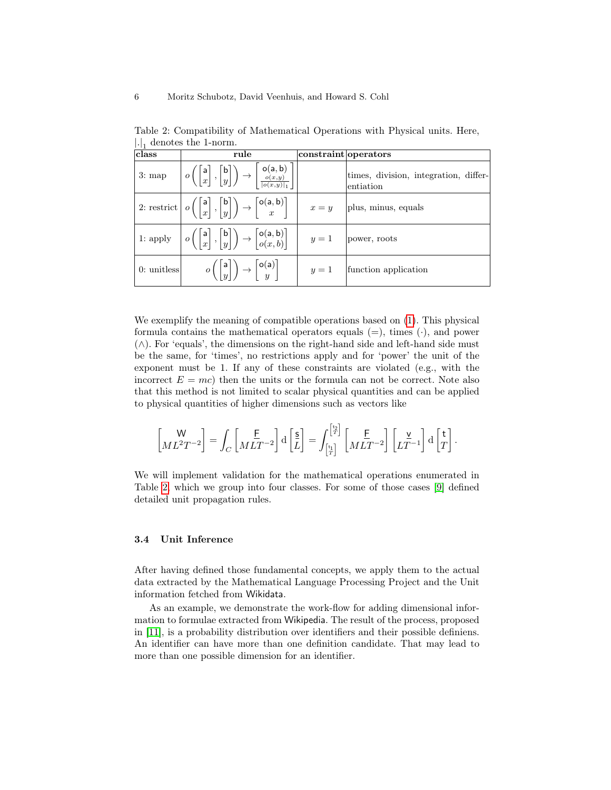| class         | rule                                                                                                                                                                                                     | constraint operators |                                                    |
|---------------|----------------------------------------------------------------------------------------------------------------------------------------------------------------------------------------------------------|----------------------|----------------------------------------------------|
|               | 3: map $\left  o\left( \begin{bmatrix} a \\ x \end{bmatrix}, \begin{bmatrix} b \\ y \end{bmatrix} \right) \rightarrow \left  \begin{bmatrix} o(a, b) \\ \frac{o(x, y)}{ o(x, y) } \end{bmatrix} \right $ |                      | times, division, integration, differ-<br>entiation |
|               | 2: restrict $o\left(\begin{bmatrix} a \\ x \end{bmatrix}, \begin{bmatrix} b \\ y \end{bmatrix}\right) \rightarrow \begin{bmatrix} o(a, b) \\ x \end{bmatrix}$ $x = y$                                    |                      | plus, minus, equals                                |
|               | 1: apply $\Bigg  o\Big(\Bigg  \frac{a}{x}\Bigg , \Bigg  \frac{b}{y}\Bigg  \Bigg) \rightarrow \Bigg  \frac{o(a, b)}{o(x, b)} \Bigg  \Bigg  y = 1 \Bigg $ power, roots                                     |                      |                                                    |
| $0:$ unitless | $o\left(\begin{bmatrix}  \mathsf{a}  \\ u \end{bmatrix}\right) \rightarrow \begin{bmatrix} \mathsf{o}(\mathsf{a}) \\ u \end{bmatrix}$                                                                    | $y=1$                | function application                               |

<span id="page-5-0"></span>Table 2: Compatibility of Mathematical Operations with Physical units. Here,  $\left| . \right|_1$  denotes the 1-norm.

We exemplify the meaning of compatible operations based on  $(1)$ . This physical formula contains the mathematical operators equals  $(=)$ , times  $(·)$ , and power (∧). For 'equals', the dimensions on the right-hand side and left-hand side must be the same, for 'times', no restrictions apply and for 'power' the unit of the exponent must be 1. If any of these constraints are violated (e.g., with the incorrect  $E = mc$ ) then the units or the formula can not be correct. Note also that this method is not limited to scalar physical quantities and can be applied to physical quantities of higher dimensions such as vectors like

$$
\begin{bmatrix} W \\ ML^2T^{-2} \end{bmatrix} = \int_C \begin{bmatrix} \underline{F} \\ MLT^{-2} \end{bmatrix} d \begin{bmatrix} \underline{s} \\ L \end{bmatrix} = \int_{\begin{bmatrix} t_1 \\ T \end{bmatrix}}^{\begin{bmatrix} t_2 \\ H} \end{bmatrix} \begin{bmatrix} \underline{F} \\ LT^{-2} \end{bmatrix} \begin{bmatrix} \underline{v} \\ LT^{-1} \end{bmatrix} d \begin{bmatrix} t \\ T \end{bmatrix}.
$$

We will implement validation for the mathematical operations enumerated in Table [2,](#page-5-0) which we group into four classes. For some of those cases [\[9\]](#page-10-4) defined detailed unit propagation rules.

#### 3.4 Unit Inference

After having defined those fundamental concepts, we apply them to the actual data extracted by the Mathematical Language Processing Project and the Unit information fetched from Wikidata.

As an example, we demonstrate the work-flow for adding dimensional information to formulae extracted from Wikipedia. The result of the process, proposed in [\[11\]](#page-10-1), is a probability distribution over identifiers and their possible definiens. An identifier can have more than one definition candidate. That may lead to more than one possible dimension for an identifier.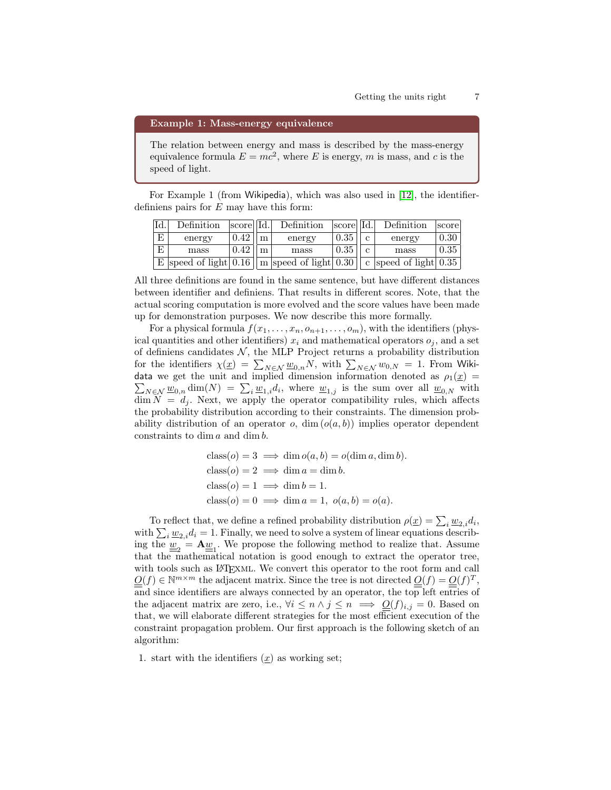#### Example 1: Mass-energy equivalence

The relation between energy and mass is described by the mass-energy equivalence formula  $E = mc^2$ , where E is energy, m is mass, and c is the speed of light.

For Example 1 (from Wikipedia), which was also used in [\[12\]](#page-10-3), the identifierdefiniens pairs for  $E$  may have this form:

| 'Id.                    | Definition                                                             | score Id. |     | Definition | score  Id. |   | Definition              | score |
|-------------------------|------------------------------------------------------------------------|-----------|-----|------------|------------|---|-------------------------|-------|
| E                       | energy                                                                 | 0.42      | m   | energy     | 0.35       | C | energy                  | 0.30  |
| $\overline{\mathrm{E}}$ | mass                                                                   | 0.42      | l m | mass       | 0.35       |   | mass                    | 0.35  |
|                         | $\mathbf{E}$ speed of light 0.16 $\vert$ m speed of light 0.30 $\vert$ |           |     |            |            |   | c speed of light $0.35$ |       |

All three definitions are found in the same sentence, but have different distances between identifier and definiens. That results in different scores. Note, that the actual scoring computation is more evolved and the score values have been made up for demonstration purposes. We now describe this more formally.

For a physical formula  $f(x_1, \ldots, x_n, o_{n+1}, \ldots, o_m)$ , with the identifiers (physical quantities and other identifiers)  $x_i$  and mathematical operators  $o_j$ , and a set of definiens candidates  $N$ , the MLP Project returns a probability distribution for the identifiers  $\chi(\underline{x}) = \sum_{N \in \mathcal{N}} \underline{w}_{0,n} N$ , with  $\sum_{N \in \mathcal{N}} w_{0,N} = 1$ . From Wikidata we get the unit and implied dimension information denoted as  $\rho_1(\underline{x}) =$  $\sum_{N\in\mathcal{N}}\underline{w}_{0,n}\dim(N) = \sum_i \underline{w}_{1,i}d_i$ , where  $\underline{w}_{1,j}$  is the sum over all  $\underline{w}_{0,N}$  with  $\dim N = d_j$ . Next, we apply the operator compatibility rules, which affects the probability distribution according to their constraints. The dimension probability distribution of an operator  $o$ , dim  $(o(a, b))$  implies operator dependent constraints to  $\dim a$  and  $\dim b$ .

class(
$$
o
$$
) = 3  $\implies$  dim  $o(a, b) = o(\dim a, \dim b)$ .  
\nclass( $o$ ) = 2  $\implies$  dim  $a$  = dim  $b$ .  
\nclass( $o$ ) = 1  $\implies$  dim  $b$  = 1.  
\nclass( $o$ ) = 0  $\implies$  dim  $a$  = 1,  $o(a, b) = o(a)$ .

To reflect that, we define a refined probability distribution  $\rho(\underline{x}) = \sum_i \underline{w}_{2,i} d_i$ , with  $\sum_i \underline{w}_{2,i} d_i = 1$ . Finally, we need to solve a system of linear equations describing the  $\underline{w}_2 = \mathbf{A}\underline{w}_1$ . We propose the following method to realize that. Assume that the mathematical notation is good enough to extract the operator tree, with tools such as LAT<sub>EXML</sub>. We convert this operator to the root form and call  $Q(f) \in \mathbb{N}^{m \times m}$  the adjacent matrix. Since the tree is not directed  $Q(f) = Q(f)^T$ , and since identifiers are always connected by an operator, the top left entries of the adjacent matrix are zero, i.e.,  $\forall i \leq n \land j \leq n \implies \underline{O}(f)_{i,j} = 0$ . Based on that, we will elaborate different strategies for the most efficient execution of the constraint propagation problem. Our first approach is the following sketch of an algorithm:

1. start with the identifiers  $(x)$  as working set;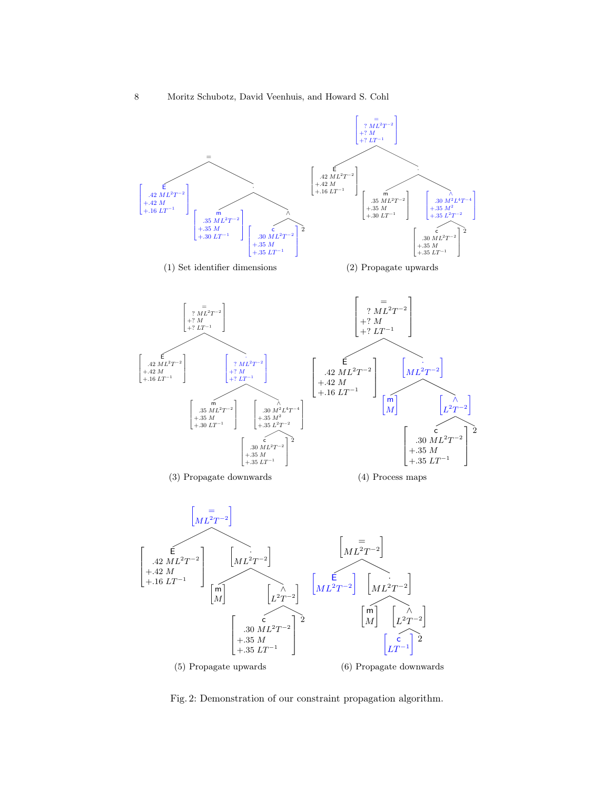<span id="page-7-0"></span>

Fig. 2: Demonstration of our constraint propagation algorithm.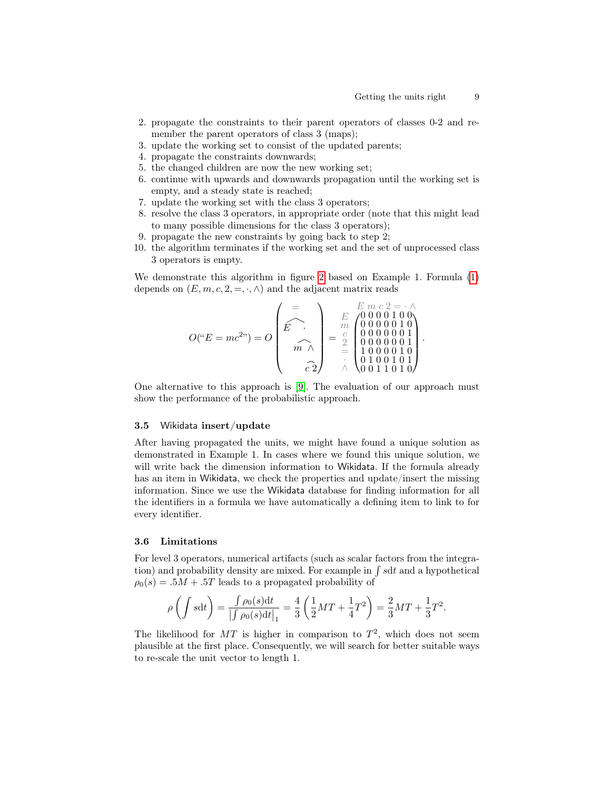- 2. propagate the constraints to their parent operators of classes 0-2 and remember the parent operators of class 3 (maps);
- 3. update the working set to consist of the updated parents;
- 4. propagate the constraints downwards;
- 5. the changed children are now the new working set;
- 6. continue with upwards and downwards propagation until the working set is empty, and a steady state is reached;
- 7. update the working set with the class 3 operators;
- 8. resolve the class 3 operators, in appropriate order (note that this might lead to many possible dimensions for the class 3 operators);
- 9. propagate the new constraints by going back to step 2;
- 10. the algorithm terminates if the working set and the set of unprocessed class 3 operators is empty.

We demonstrate this algorithm in figure [2](#page-7-0) based on Example 1. Formula [\(1\)](#page-2-0) depends on  $(E, m, c, 2, =, \cdot, \wedge)$  and the adjacent matrix reads

$$
O("E = mc2") = O\left(\begin{matrix} = \\ \widehat{E} \\ \widehat{E} \\ \widehat{m} \end{matrix}\right) = \begin{matrix} = \\ \frac{E}{m} \\ \frac{m}{2} \\ \widehat{e} \\ \widehat{c} \\ \widehat{c} \\ \widehat{d} \end{matrix}\right) = \begin{matrix} = \\ \frac{E}{m} \\ \begin{pmatrix} 0 & 0 & 0 & 1 & 0 & 0 \\ 0 & 0 & 0 & 0 & 1 & 0 \\ 0 & 0 & 0 & 0 & 0 & 1 \\ 0 & 0 & 0 & 0 & 0 & 1 \\ 1 & 0 & 0 & 0 & 0 & 1 \\ 0 & 1 & 0 & 0 & 1 & 0 \\ 0 & 1 & 1 & 0 & 1 & 0 \end{pmatrix}.
$$

One alternative to this approach is [\[9\]](#page-10-4). The evaluation of our approach must show the performance of the probabilistic approach.

#### 3.5 Wikidata insert/update

After having propagated the units, we might have found a unique solution as demonstrated in Example 1. In cases where we found this unique solution, we will write back the dimension information to Wikidata. If the formula already has an item in Wikidata, we check the properties and update/insert the missing information. Since we use the Wikidata database for finding information for all the identifiers in a formula we have automatically a defining item to link to for every identifier.

#### 3.6 Limitations

For level 3 operators, numerical artifacts (such as scalar factors from the integration) and probability density are mixed. For example in ∫ sdt and a hypothetical  $\rho_0(s) = .5M + .5T$  leads to a propagated probability of

$$
\rho\left(\int s dt\right) = \frac{\int \rho_0(s) dt}{\left|\int \rho_0(s) dt\right|_1} = \frac{4}{3} \left(\frac{1}{2}MT + \frac{1}{4}T^2\right) = \frac{2}{3}MT + \frac{1}{3}T^2.
$$

The likelihood for MT is higher in comparison to  $T^2$ , which does not seem plausible at the first place. Consequently, we will search for better suitable ways to re-scale the unit vector to length 1.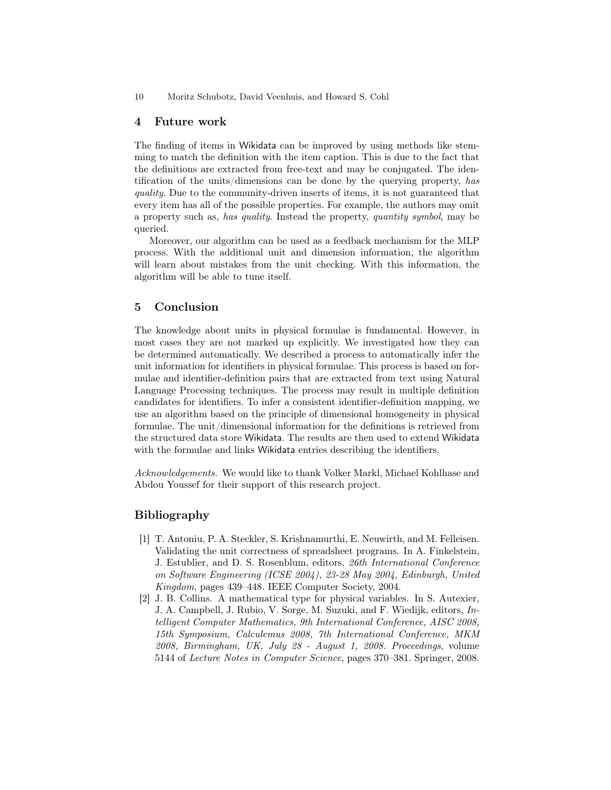10 Moritz Schubotz, David Veenhuis, and Howard S. Cohl

### 4 Future work

The finding of items in Wikidata can be improved by using methods like stemming to match the definition with the item caption. This is due to the fact that the definitions are extracted from free-text and may be conjugated. The identification of the units/dimensions can be done by the querying property, has quality. Due to the community-driven inserts of items, it is not guaranteed that every item has all of the possible properties. For example, the authors may omit a property such as, has quality. Instead the property, quantity symbol, may be queried.

Moreover, our algorithm can be used as a feedback mechanism for the MLP process. With the additional unit and dimension information, the algorithm will learn about mistakes from the unit checking. With this information, the algorithm will be able to tune itself.

# 5 Conclusion

The knowledge about units in physical formulae is fundamental. However, in most cases they are not marked up explicitly. We investigated how they can be determined automatically. We described a process to automatically infer the unit information for identifiers in physical formulae. This process is based on formulae and identifier-definition pairs that are extracted from text using Natural Language Processing techniques. The process may result in multiple definition candidates for identifiers. To infer a consistent identifier-definition mapping, we use an algorithm based on the principle of dimensional homogeneity in physical formulae. The unit/dimensional information for the definitions is retrieved from the structured data store Wikidata. The results are then used to extend Wikidata with the formulae and links Wikidata entries describing the identifiers.

Acknowledgements. We would like to thank Volker Markl, Michael Kohlhase and Abdou Youssef for their support of this research project.

### Bibliography

- <span id="page-9-0"></span>[1] T. Antoniu, P. A. Steckler, S. Krishnamurthi, E. Neuwirth, and M. Felleisen. Validating the unit correctness of spreadsheet programs. In A. Finkelstein, J. Estublier, and D. S. Rosenblum, editors, 26th International Conference on Software Engineering (ICSE 2004), 23-28 May 2004, Edinburgh, United Kingdom, pages 439–448. IEEE Computer Society, 2004.
- <span id="page-9-1"></span>[2] J. B. Collins. A mathematical type for physical variables. In S. Autexier, J. A. Campbell, J. Rubio, V. Sorge, M. Suzuki, and F. Wiedijk, editors, Intelligent Computer Mathematics, 9th International Conference, AISC 2008, 15th Symposium, Calculemus 2008, 7th International Conference, MKM 2008, Birmingham, UK, July 28 - August 1, 2008. Proceedings, volume 5144 of Lecture Notes in Computer Science, pages 370–381. Springer, 2008.